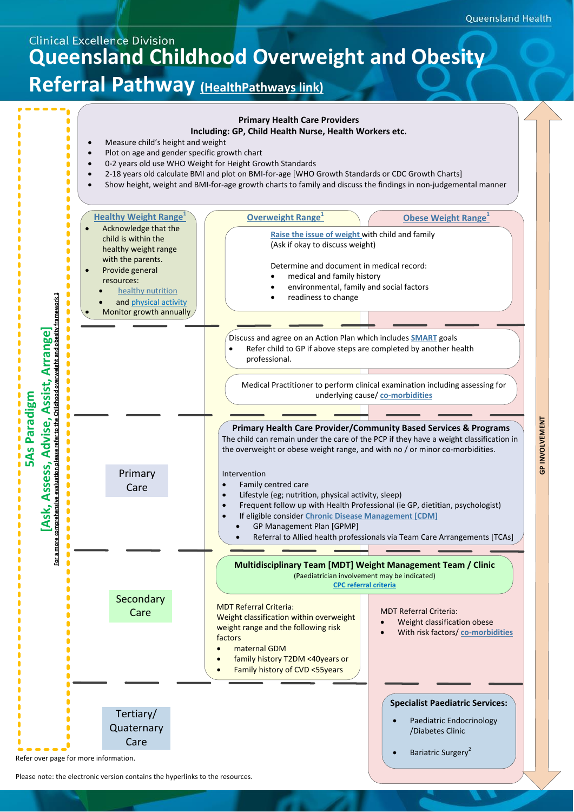## **Clinical Excellence Division Queensland Childhood Overweight and Obesity Referral Pathway (HealthPathways link)**



Please note: the electronic version contains the hyperlinks to the resources.